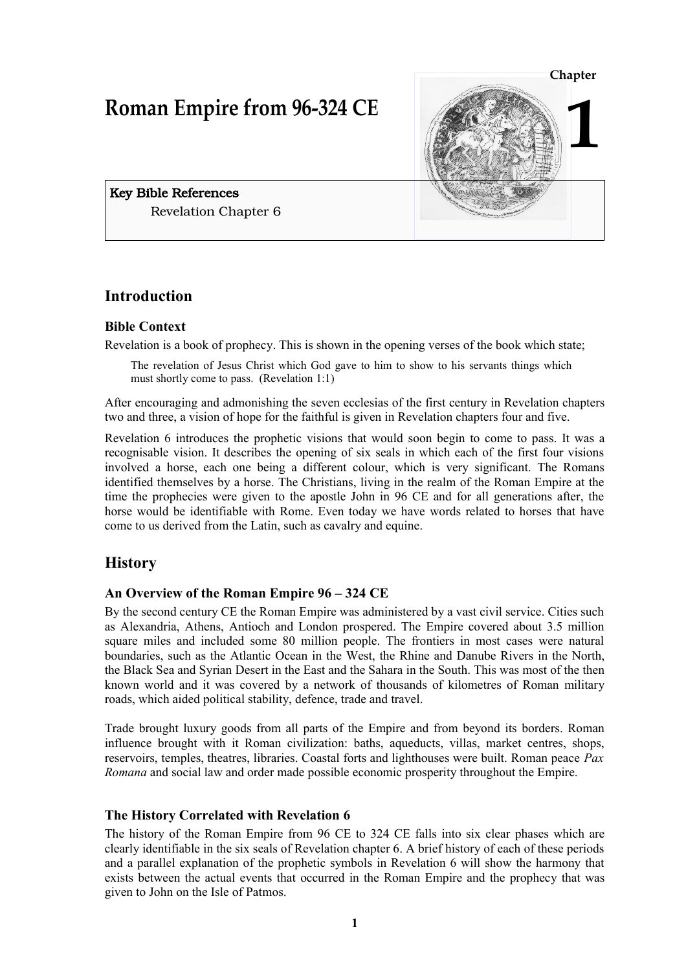# **Roman Empire from 96-324 CE**



Key Bible References Revelation Chapter 6

# **Introduction**

# **Bible Context**

Revelation is a book of prophecy. This is shown in the opening verses of the book which state;

The revelation of Jesus Christ which God gave to him to show to his servants things which must shortly come to pass. (Revelation 1:1)

After encouraging and admonishing the seven ecclesias of the first century in Revelation chapters two and three, a vision of hope for the faithful is given in Revelation chapters four and five.

Revelation 6 introduces the prophetic visions that would soon begin to come to pass. It was a recognisable vision. It describes the opening of six seals in which each of the first four visions involved a horse, each one being a different colour, which is very significant. The Romans identified themselves by a horse. The Christians, living in the realm of the Roman Empire at the time the prophecies were given to the apostle John in 96 CE and for all generations after, the horse would be identifiable with Rome. Even today we have words related to horses that have come to us derived from the Latin, such as cavalry and equine.

# **History**

#### **An Overview of the Roman Empire 96 – 324 CE**

By the second century CE the Roman Empire was administered by a vast civil service. Cities such as Alexandria, Athens, Antioch and London prospered. The Empire covered about 3.5 million square miles and included some 80 million people. The frontiers in most cases were natural boundaries, such as the Atlantic Ocean in the West, the Rhine and Danube Rivers in the North, the Black Sea and Syrian Desert in the East and the Sahara in the South. This was most of the then known world and it was covered by a network of thousands of kilometres of Roman military roads, which aided political stability, defence, trade and travel.

Trade brought luxury goods from all parts of the Empire and from beyond its borders. Roman influence brought with it Roman civilization: baths, aqueducts, villas, market centres, shops, reservoirs, temples, theatres, libraries. Coastal forts and lighthouses were built. Roman peace *Pax Romana* and social law and order made possible economic prosperity throughout the Empire.

#### **The History Correlated with Revelation 6**

The history of the Roman Empire from 96 CE to 324 CE falls into six clear phases which are clearly identifiable in the six seals of Revelation chapter 6. A brief history of each of these periods and a parallel explanation of the prophetic symbols in Revelation 6 will show the harmony that exists between the actual events that occurred in the Roman Empire and the prophecy that was given to John on the Isle of Patmos.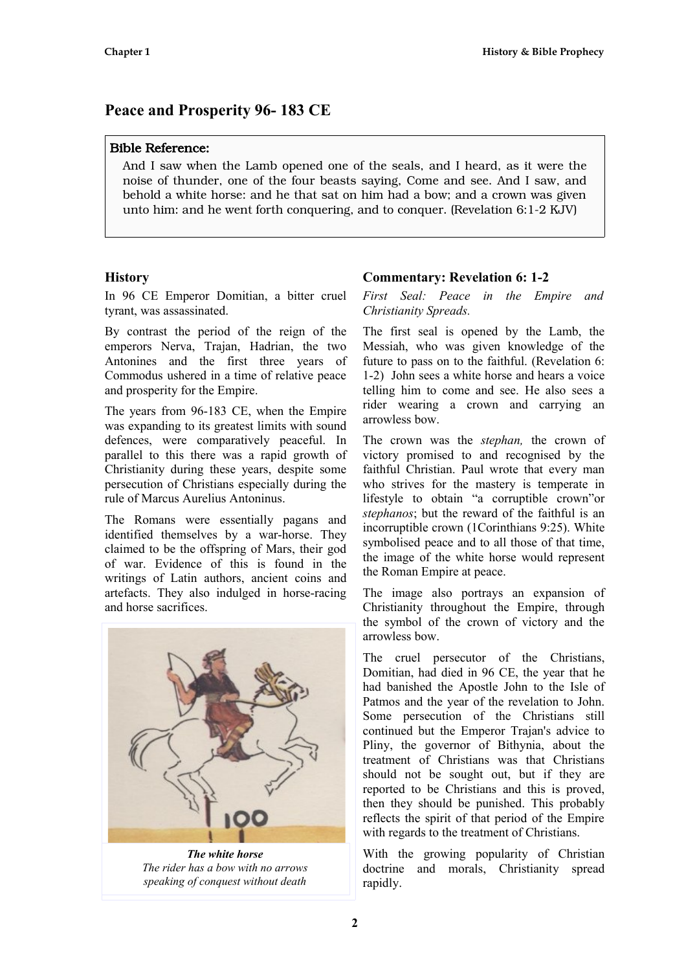# **Peace and Prosperity 96- 183 CE**

# Bible Reference:

And I saw when the Lamb opened one of the seals, and I heard, as it were the noise of thunder, one of the four beasts saying, Come and see. And I saw, and behold a white horse: and he that sat on him had a bow; and a crown was given unto him: and he went forth conquering, and to conquer. (Revelation 6:1-2 KJV)

# **History**

In 96 CE Emperor Domitian, a bitter cruel tyrant, was assassinated.

By contrast the period of the reign of the emperors Nerva, Trajan, Hadrian, the two Antonines and the first three years of Commodus ushered in a time of relative peace and prosperity for the Empire.

The years from 96-183 CE, when the Empire was expanding to its greatest limits with sound defences, were comparatively peaceful. In parallel to this there was a rapid growth of Christianity during these years, despite some persecution of Christians especially during the rule of Marcus Aurelius Antoninus.

The Romans were essentially pagans and identified themselves by a war-horse. They claimed to be the offspring of Mars, their god of war. Evidence of this is found in the writings of Latin authors, ancient coins and artefacts. They also indulged in horse-racing and horse sacrifices.



*The white horse The rider has a bow with no arrows speaking of conquest without death*

# **Commentary: Revelation 6: 1-2**

*First Seal: Peace in the Empire and Christianity Spreads.*

The first seal is opened by the Lamb, the Messiah, who was given knowledge of the future to pass on to the faithful. (Revelation 6: 1-2) John sees a white horse and hears a voice telling him to come and see. He also sees a rider wearing a crown and carrying an arrowless bow.

The crown was the *stephan,* the crown of victory promised to and recognised by the faithful Christian. Paul wrote that every man who strives for the mastery is temperate in lifestyle to obtain "a corruptible crown"or *stephanos*; but the reward of the faithful is an incorruptible crown (1Corinthians 9:25). White symbolised peace and to all those of that time, the image of the white horse would represent the Roman Empire at peace.

The image also portrays an expansion of Christianity throughout the Empire, through the symbol of the crown of victory and the arrowless bow.

The cruel persecutor of the Christians, Domitian, had died in 96 CE, the year that he had banished the Apostle John to the Isle of Patmos and the year of the revelation to John. Some persecution of the Christians still continued but the Emperor Trajan's advice to Pliny, the governor of Bithynia, about the treatment of Christians was that Christians should not be sought out, but if they are reported to be Christians and this is proved, then they should be punished. This probably reflects the spirit of that period of the Empire with regards to the treatment of Christians.

With the growing popularity of Christian doctrine and morals, Christianity spread rapidly.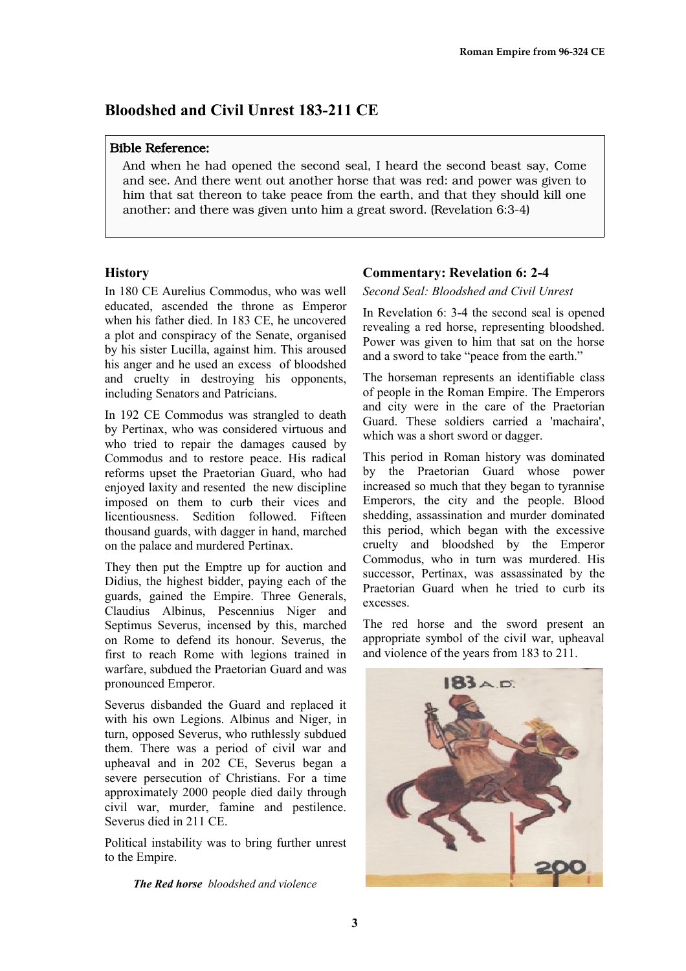# **Bloodshed and Civil Unrest 183-211 CE**

#### Bible Reference:

And when he had opened the second seal, I heard the second beast say, Come and see. And there went out another horse that was red: and power was given to him that sat thereon to take peace from the earth, and that they should kill one another: and there was given unto him a great sword. (Revelation 6:3-4)

#### **History**

In 180 CE Aurelius Commodus, who was well educated, ascended the throne as Emperor when his father died. In 183 CE, he uncovered a plot and conspiracy of the Senate, organised by his sister Lucilla, against him. This aroused his anger and he used an excess of bloodshed and cruelty in destroying his opponents, including Senators and Patricians.

In 192 CE Commodus was strangled to death by Pertinax, who was considered virtuous and who tried to repair the damages caused by Commodus and to restore peace. His radical reforms upset the Praetorian Guard, who had enjoyed laxity and resented the new discipline imposed on them to curb their vices and licentiousness. Sedition followed. Fifteen thousand guards, with dagger in hand, marched on the palace and murdered Pertinax.

They then put the Emptre up for auction and Didius, the highest bidder, paying each of the guards, gained the Empire. Three Generals, Claudius Albinus, Pescennius Niger and Septimus Severus, incensed by this, marched on Rome to defend its honour. Severus, the first to reach Rome with legions trained in warfare, subdued the Praetorian Guard and was pronounced Emperor.

Severus disbanded the Guard and replaced it with his own Legions. Albinus and Niger, in turn, opposed Severus, who ruthlessly subdued them. There was a period of civil war and upheaval and in 202 CE, Severus began a severe persecution of Christians. For a time approximately 2000 people died daily through civil war, murder, famine and pestilence. Severus died in 211 CE.

Political instability was to bring further unrest to the Empire.

*The Red horse bloodshed and violence*

# **Commentary: Revelation 6: 2-4**

#### *Second Seal: Bloodshed and Civil Unrest*

In Revelation 6: 3-4 the second seal is opened revealing a red horse, representing bloodshed. Power was given to him that sat on the horse and a sword to take "peace from the earth."

The horseman represents an identifiable class of people in the Roman Empire. The Emperors and city were in the care of the Praetorian Guard. These soldiers carried a 'machaira', which was a short sword or dagger.

This period in Roman history was dominated by the Praetorian Guard whose power increased so much that they began to tyrannise Emperors, the city and the people. Blood shedding, assassination and murder dominated this period, which began with the excessive cruelty and bloodshed by the Emperor Commodus, who in turn was murdered. His successor, Pertinax, was assassinated by the Praetorian Guard when he tried to curb its excesses.

The red horse and the sword present an appropriate symbol of the civil war, upheaval and violence of the years from 183 to 211.

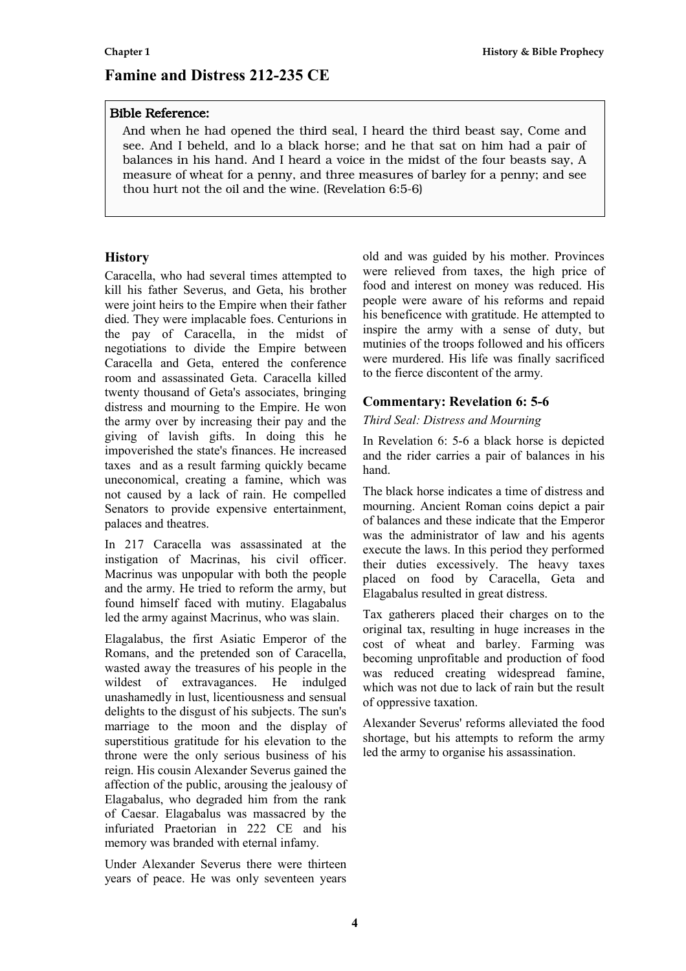# **Famine and Distress 212-235 CE**

#### Bible Reference:

And when he had opened the third seal, I heard the third beast say, Come and see. And I beheld, and lo a black horse; and he that sat on him had a pair of balances in his hand. And I heard a voice in the midst of the four beasts say, A measure of wheat for a penny, and three measures of barley for a penny; and see thou hurt not the oil and the wine. (Revelation 6:5-6)

# **History**

Caracella, who had several times attempted to kill his father Severus, and Geta, his brother were joint heirs to the Empire when their father died. They were implacable foes. Centurions in the pay of Caracella, in the midst of negotiations to divide the Empire between Caracella and Geta, entered the conference room and assassinated Geta. Caracella killed twenty thousand of Geta's associates, bringing distress and mourning to the Empire. He won the army over by increasing their pay and the giving of lavish gifts. In doing this he impoverished the state's finances. He increased taxes and as a result farming quickly became uneconomical, creating a famine, which was not caused by a lack of rain. He compelled Senators to provide expensive entertainment, palaces and theatres.

In 217 Caracella was assassinated at the instigation of Macrinas, his civil officer. Macrinus was unpopular with both the people and the army. He tried to reform the army, but found himself faced with mutiny. Elagabalus led the army against Macrinus, who was slain.

Elagalabus, the first Asiatic Emperor of the Romans, and the pretended son of Caracella, wasted away the treasures of his people in the wildest of extravagances. He indulged unashamedly in lust, licentiousness and sensual delights to the disgust of his subjects. The sun's marriage to the moon and the display of superstitious gratitude for his elevation to the throne were the only serious business of his reign. His cousin Alexander Severus gained the affection of the public, arousing the jealousy of Elagabalus, who degraded him from the rank of Caesar. Elagabalus was massacred by the infuriated Praetorian in 222 CE and his memory was branded with eternal infamy.

Under Alexander Severus there were thirteen years of peace. He was only seventeen years

old and was guided by his mother. Provinces were relieved from taxes, the high price of food and interest on money was reduced. His people were aware of his reforms and repaid his beneficence with gratitude. He attempted to inspire the army with a sense of duty, but mutinies of the troops followed and his officers were murdered. His life was finally sacrificed to the fierce discontent of the army.

# **Commentary: Revelation 6: 5-6**

*Third Seal: Distress and Mourning* 

In Revelation 6: 5-6 a black horse is depicted and the rider carries a pair of balances in his hand.

The black horse indicates a time of distress and mourning. Ancient Roman coins depict a pair of balances and these indicate that the Emperor was the administrator of law and his agents execute the laws. In this period they performed their duties excessively. The heavy taxes placed on food by Caracella, Geta and Elagabalus resulted in great distress.

Tax gatherers placed their charges on to the original tax, resulting in huge increases in the cost of wheat and barley. Farming was becoming unprofitable and production of food was reduced creating widespread famine, which was not due to lack of rain but the result of oppressive taxation.

Alexander Severus' reforms alleviated the food shortage, but his attempts to reform the army led the army to organise his assassination.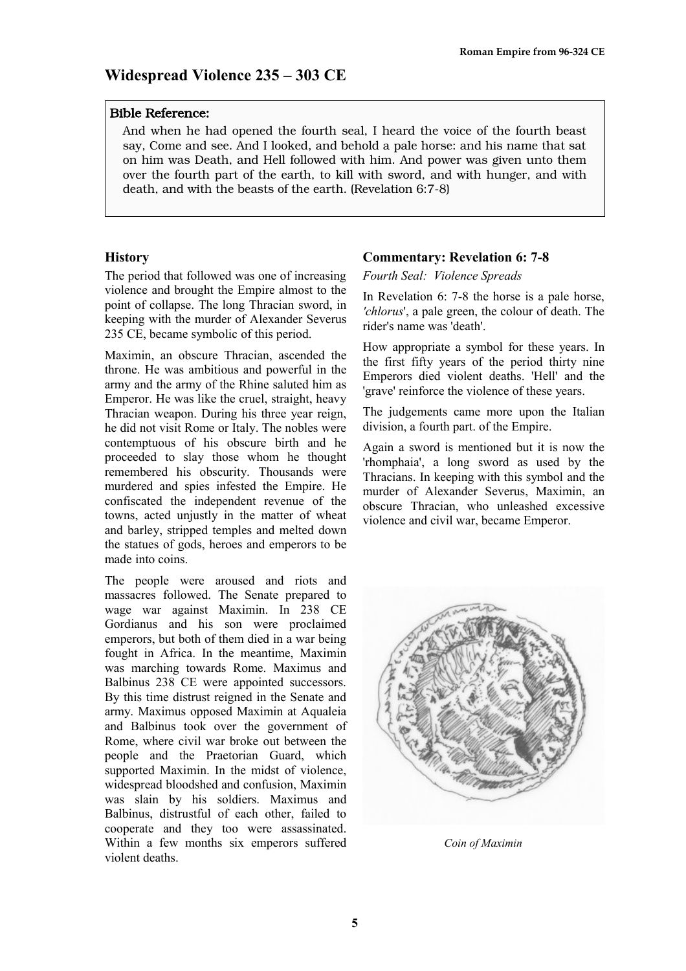# **Widespread Violence 235 – 303 CE**

#### Bible Reference:

And when he had opened the fourth seal, I heard the voice of the fourth beast say, Come and see. And I looked, and behold a pale horse: and his name that sat on him was Death, and Hell followed with him. And power was given unto them over the fourth part of the earth, to kill with sword, and with hunger, and with death, and with the beasts of the earth. (Revelation 6:7-8)

#### **History**

The period that followed was one of increasing violence and brought the Empire almost to the point of collapse. The long Thracian sword, in keeping with the murder of Alexander Severus 235 CE, became symbolic of this period.

Maximin, an obscure Thracian, ascended the throne. He was ambitious and powerful in the army and the army of the Rhine saluted him as Emperor. He was like the cruel, straight, heavy Thracian weapon. During his three year reign, he did not visit Rome or Italy. The nobles were contemptuous of his obscure birth and he proceeded to slay those whom he thought remembered his obscurity. Thousands were murdered and spies infested the Empire. He confiscated the independent revenue of the towns, acted unjustly in the matter of wheat and barley, stripped temples and melted down the statues of gods, heroes and emperors to be made into coins.

The people were aroused and riots and massacres followed. The Senate prepared to wage war against Maximin. In 238 CE Gordianus and his son were proclaimed emperors, but both of them died in a war being fought in Africa. In the meantime, Maximin was marching towards Rome. Maximus and Balbinus 238 CE were appointed successors. By this time distrust reigned in the Senate and army. Maximus opposed Maximin at Aqualeia and Balbinus took over the government of Rome, where civil war broke out between the people and the Praetorian Guard, which supported Maximin. In the midst of violence, widespread bloodshed and confusion, Maximin was slain by his soldiers. Maximus and Balbinus, distrustful of each other, failed to cooperate and they too were assassinated. Within a few months six emperors suffered violent deaths.

#### **Commentary: Revelation 6: 7-8**

*Fourth Seal: Violence Spreads* 

In Revelation 6: 7-8 the horse is a pale horse, *'chlorus*', a pale green, the colour of death. The rider's name was 'death'.

How appropriate a symbol for these years. In the first fifty years of the period thirty nine Emperors died violent deaths. 'Hell' and the 'grave' reinforce the violence of these years.

The judgements came more upon the Italian division, a fourth part. of the Empire.

Again a sword is mentioned but it is now the 'rhomphaia', a long sword as used by the Thracians. In keeping with this symbol and the murder of Alexander Severus, Maximin, an obscure Thracian, who unleashed excessive violence and civil war, became Emperor.



*Coin of Maximin*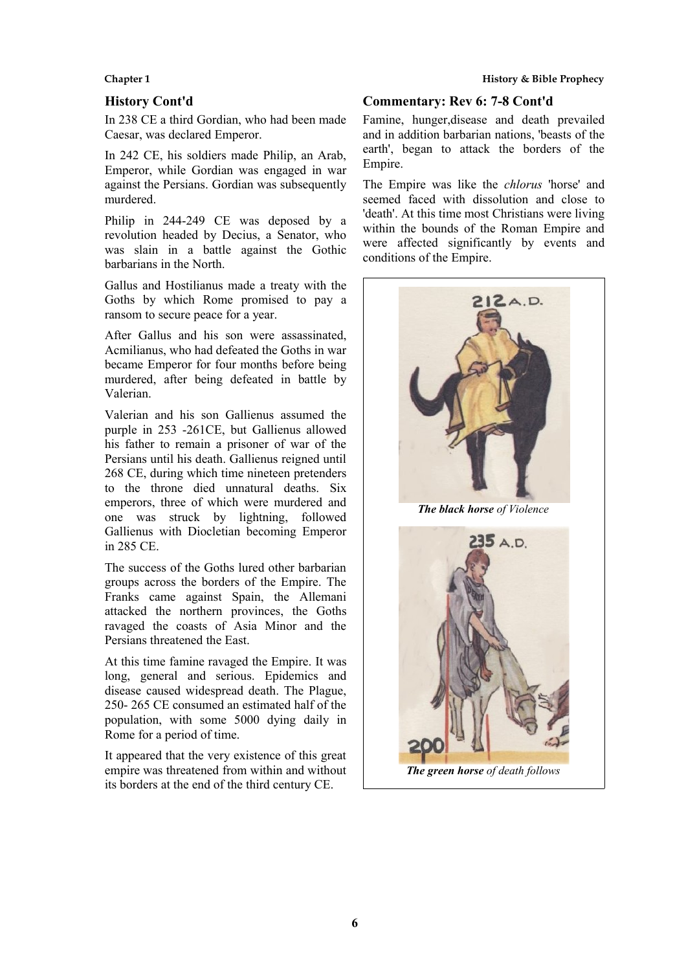#### **History Cont'd**

In 238 CE a third Gordian, who had been made Caesar, was declared Emperor.

In 242 CE, his soldiers made Philip, an Arab, Emperor, while Gordian was engaged in war against the Persians. Gordian was subsequently murdered.

Philip in 244-249 CE was deposed by a revolution headed by Decius, a Senator, who was slain in a battle against the Gothic barbarians in the North.

Gallus and Hostilianus made a treaty with the Goths by which Rome promised to pay a ransom to secure peace for a year.

After Gallus and his son were assassinated, Acmilianus, who had defeated the Goths in war became Emperor for four months before being murdered, after being defeated in battle by Valerian.

Valerian and his son Gallienus assumed the purple in 253 -261CE, but Gallienus allowed his father to remain a prisoner of war of the Persians until his death. Gallienus reigned until 268 CE, during which time nineteen pretenders to the throne died unnatural deaths. Six emperors, three of which were murdered and one was struck by lightning, followed Gallienus with Diocletian becoming Emperor in 285 CE.

The success of the Goths lured other barbarian groups across the borders of the Empire. The Franks came against Spain, the Allemani attacked the northern provinces, the Goths ravaged the coasts of Asia Minor and the Persians threatened the East.

At this time famine ravaged the Empire. It was long, general and serious. Epidemics and disease caused widespread death. The Plague, 250- 265 CE consumed an estimated half of the population, with some 5000 dying daily in Rome for a period of time.

It appeared that the very existence of this great empire was threatened from within and without its borders at the end of the third century CE.

#### **Chapter 1 History & Bible Prophecy**

#### **Commentary: Rev 6: 7-8 Cont'd**

Famine, hunger,disease and death prevailed and in addition barbarian nations, 'beasts of the earth', began to attack the borders of the Empire.

The Empire was like the *chlorus* 'horse' and seemed faced with dissolution and close to 'death'. At this time most Christians were living within the bounds of the Roman Empire and were affected significantly by events and conditions of the Empire.



*The green horse of death follows*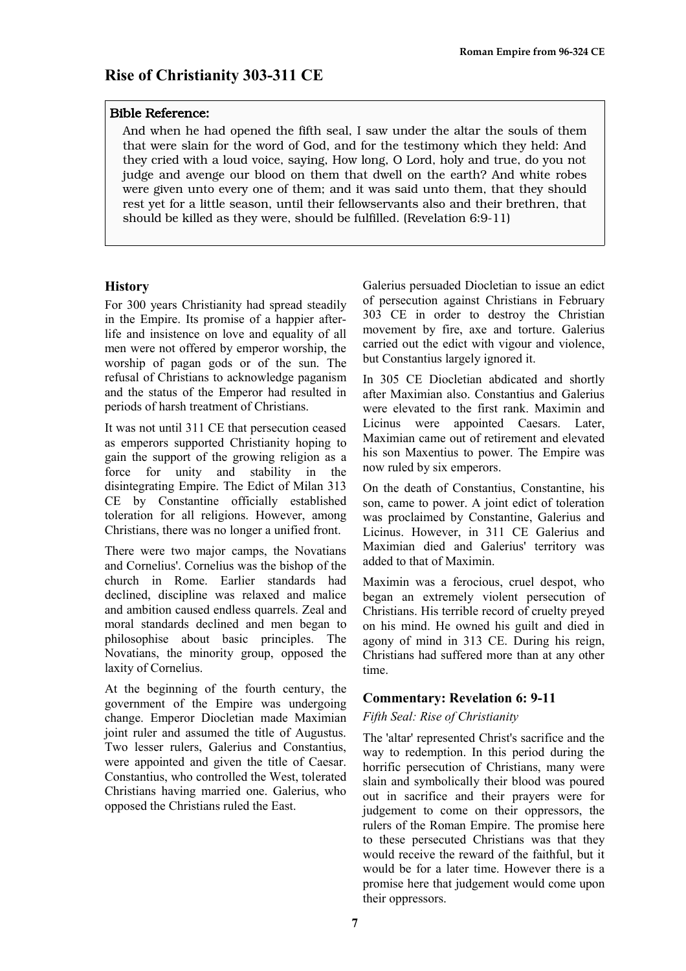#### Bible Reference:

And when he had opened the fifth seal, I saw under the altar the souls of them that were slain for the word of God, and for the testimony which they held: And they cried with a loud voice, saying, How long, O Lord, holy and true, do you not judge and avenge our blood on them that dwell on the earth? And white robes were given unto every one of them; and it was said unto them, that they should rest yet for a little season, until their fellowservants also and their brethren, that should be killed as they were, should be fulfilled. (Revelation 6:9-11)

#### **History**

For 300 years Christianity had spread steadily in the Empire. Its promise of a happier afterlife and insistence on love and equality of all men were not offered by emperor worship, the worship of pagan gods or of the sun. The refusal of Christians to acknowledge paganism and the status of the Emperor had resulted in periods of harsh treatment of Christians.

It was not until 311 CE that persecution ceased as emperors supported Christianity hoping to gain the support of the growing religion as a force for unity and stability in the disintegrating Empire. The Edict of Milan 313 CE by Constantine officially established toleration for all religions. However, among Christians, there was no longer a unified front.

There were two major camps, the Novatians and Cornelius'. Cornelius was the bishop of the church in Rome. Earlier standards had declined, discipline was relaxed and malice and ambition caused endless quarrels. Zeal and moral standards declined and men began to philosophise about basic principles. The Novatians, the minority group, opposed the laxity of Cornelius.

At the beginning of the fourth century, the government of the Empire was undergoing change. Emperor Diocletian made Maximian joint ruler and assumed the title of Augustus. Two lesser rulers, Galerius and Constantius, were appointed and given the title of Caesar. Constantius, who controlled the West, tolerated Christians having married one. Galerius, who opposed the Christians ruled the East.

Galerius persuaded Diocletian to issue an edict of persecution against Christians in February 303 CE in order to destroy the Christian movement by fire, axe and torture. Galerius carried out the edict with vigour and violence, but Constantius largely ignored it.

In 305 CE Diocletian abdicated and shortly after Maximian also. Constantius and Galerius were elevated to the first rank. Maximin and Licinus were appointed Caesars. Later, Maximian came out of retirement and elevated his son Maxentius to power. The Empire was now ruled by six emperors.

On the death of Constantius, Constantine, his son, came to power. A joint edict of toleration was proclaimed by Constantine, Galerius and Licinus. However, in 311 CE Galerius and Maximian died and Galerius' territory was added to that of Maximin.

Maximin was a ferocious, cruel despot, who began an extremely violent persecution of Christians. His terrible record of cruelty preyed on his mind. He owned his guilt and died in agony of mind in 313 CE. During his reign, Christians had suffered more than at any other time.

#### **Commentary: Revelation 6: 9-11**

#### *Fifth Seal: Rise of Christianity*

The 'altar' represented Christ's sacrifice and the way to redemption. In this period during the horrific persecution of Christians, many were slain and symbolically their blood was poured out in sacrifice and their prayers were for judgement to come on their oppressors, the rulers of the Roman Empire. The promise here to these persecuted Christians was that they would receive the reward of the faithful, but it would be for a later time. However there is a promise here that judgement would come upon their oppressors.